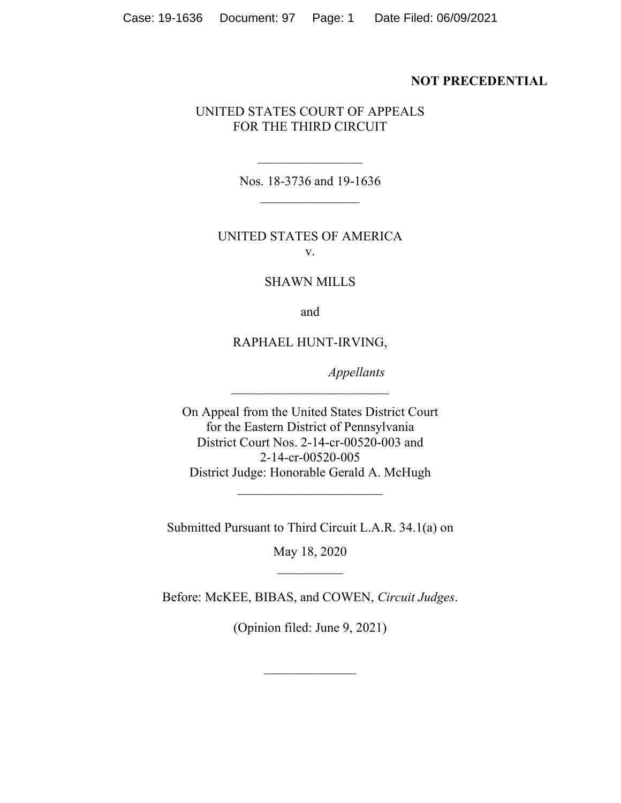#### **NOT PRECEDENTIAL**

## UNITED STATES COURT OF APPEALS FOR THE THIRD CIRCUIT

Nos. 18-3736 and 19-1636  $\frac{1}{2}$ 

 $\frac{1}{2}$ 

## UNITED STATES OF AMERICA v.

### SHAWN MILLS

and

### RAPHAEL HUNT-IRVING,

 $\overline{\phantom{a}}$  , where  $\overline{\phantom{a}}$ 

*Appellants*

On Appeal from the United States District Court for the Eastern District of Pennsylvania District Court Nos. 2-14-cr-00520-003 and 2-14-cr-00520-005 District Judge: Honorable Gerald A. McHugh

Submitted Pursuant to Third Circuit L.A.R. 34.1(a) on

 $\overline{\phantom{a}}$  , where  $\overline{\phantom{a}}$  , where  $\overline{\phantom{a}}$  , where  $\overline{\phantom{a}}$ 

May 18, 2020  $\frac{1}{2}$ 

Before: McKEE, BIBAS, and COWEN, *Circuit Judges*.

(Opinion filed: June 9, 2021)

 $\frac{1}{2}$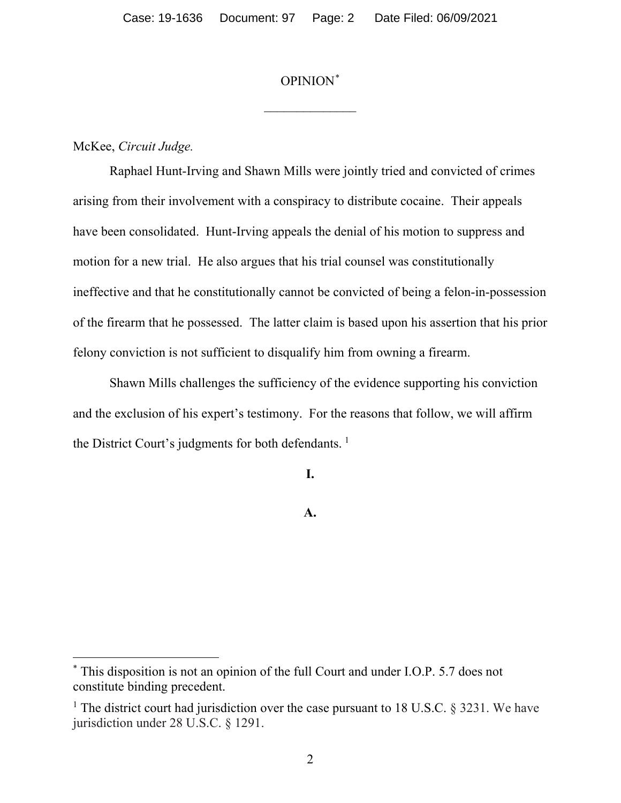## OPINION\*

 $\frac{1}{2}$ 

### McKee, *Circuit Judge.*

Raphael Hunt-Irving and Shawn Mills were jointly tried and convicted of crimes arising from their involvement with a conspiracy to distribute cocaine. Their appeals have been consolidated. Hunt-Irving appeals the denial of his motion to suppress and motion for a new trial. He also argues that his trial counsel was constitutionally ineffective and that he constitutionally cannot be convicted of being a felon-in-possession of the firearm that he possessed. The latter claim is based upon his assertion that his prior felony conviction is not sufficient to disqualify him from owning a firearm.

Shawn Mills challenges the sufficiency of the evidence supporting his conviction and the exclusion of his expert's testimony. For the reasons that follow, we will affirm the District Court's judgments for both defendants.<sup>1</sup>

**I.** 

**A.**

<sup>\*</sup> This disposition is not an opinion of the full Court and under I.O.P. 5.7 does not constitute binding precedent.

<sup>&</sup>lt;sup>1</sup> The district court had jurisdiction over the case pursuant to 18 U.S.C. § 3231. We have jurisdiction under 28 U.S.C. § 1291.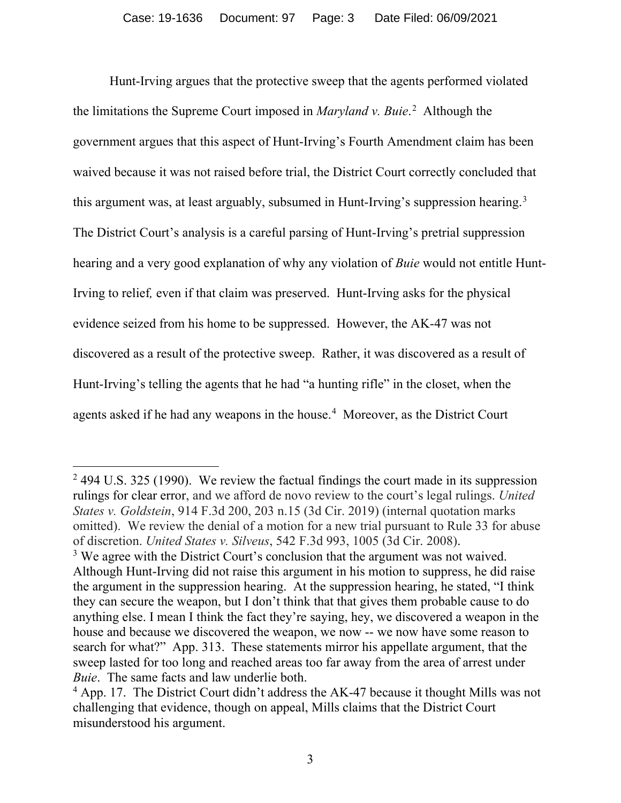Hunt-Irving argues that the protective sweep that the agents performed violated the limitations the Supreme Court imposed in *Maryland v. Buie*. <sup>2</sup> Although the government argues that this aspect of Hunt-Irving's Fourth Amendment claim has been waived because it was not raised before trial, the District Court correctly concluded that this argument was, at least arguably, subsumed in Hunt-Irving's suppression hearing.<sup>3</sup> The District Court's analysis is a careful parsing of Hunt-Irving's pretrial suppression hearing and a very good explanation of why any violation of *Buie* would not entitle Hunt-Irving to relief*,* even if that claim was preserved. Hunt-Irving asks for the physical evidence seized from his home to be suppressed. However, the AK-47 was not discovered as a result of the protective sweep. Rather, it was discovered as a result of Hunt-Irving's telling the agents that he had "a hunting rifle" in the closet, when the agents asked if he had any weapons in the house.<sup>4</sup> Moreover, as the District Court

<sup>&</sup>lt;sup>2</sup> 494 U.S. 325 (1990). We review the factual findings the court made in its suppression rulings for clear error, and we afford de novo review to the court's legal rulings. *United States v. Goldstein*, 914 F.3d 200, 203 n.15 (3d Cir. 2019) (internal quotation marks omitted). We review the denial of a motion for a new trial pursuant to Rule 33 for abuse of discretion. *United States v. Silveus*, 542 F.3d 993, 1005 (3d Cir. 2008).

<sup>&</sup>lt;sup>3</sup> We agree with the District Court's conclusion that the argument was not waived. Although Hunt-Irving did not raise this argument in his motion to suppress, he did raise the argument in the suppression hearing. At the suppression hearing, he stated, "I think they can secure the weapon, but I don't think that that gives them probable cause to do anything else. I mean I think the fact they're saying, hey, we discovered a weapon in the house and because we discovered the weapon, we now -- we now have some reason to search for what?" App. 313. These statements mirror his appellate argument, that the sweep lasted for too long and reached areas too far away from the area of arrest under *Buie*. The same facts and law underlie both.

<sup>&</sup>lt;sup>4</sup> App. 17. The District Court didn't address the AK-47 because it thought Mills was not challenging that evidence, though on appeal, Mills claims that the District Court misunderstood his argument.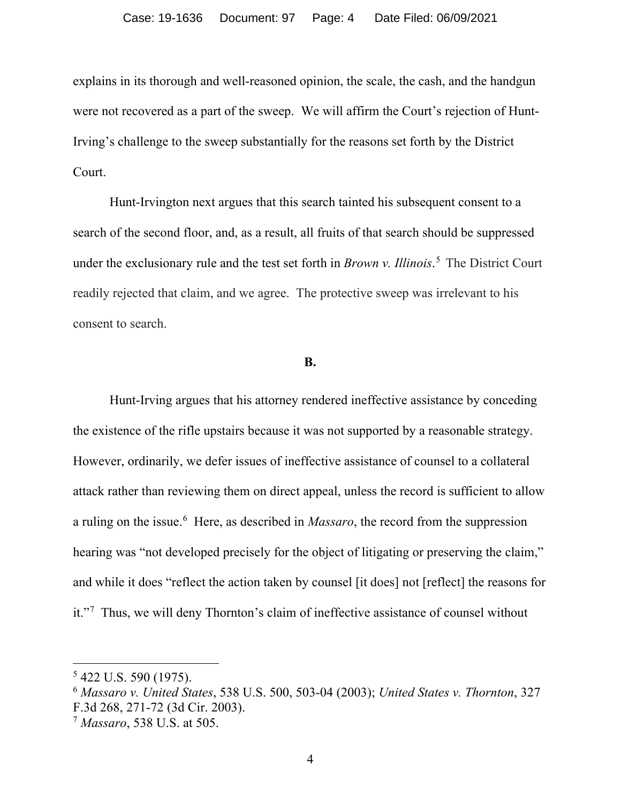explains in its thorough and well-reasoned opinion, the scale, the cash, and the handgun were not recovered as a part of the sweep. We will affirm the Court's rejection of Hunt-Irving's challenge to the sweep substantially for the reasons set forth by the District Court.

Hunt-Irvington next argues that this search tainted his subsequent consent to a search of the second floor, and, as a result, all fruits of that search should be suppressed under the exclusionary rule and the test set forth in *Brown v. Illinois*. <sup>5</sup> The District Court readily rejected that claim, and we agree. The protective sweep was irrelevant to his consent to search.

#### **B.**

Hunt-Irving argues that his attorney rendered ineffective assistance by conceding the existence of the rifle upstairs because it was not supported by a reasonable strategy. However, ordinarily, we defer issues of ineffective assistance of counsel to a collateral attack rather than reviewing them on direct appeal, unless the record is sufficient to allow a ruling on the issue.<sup>6</sup> Here, as described in *Massaro*, the record from the suppression hearing was "not developed precisely for the object of litigating or preserving the claim," and while it does "reflect the action taken by counsel [it does] not [reflect] the reasons for it."<sup>7</sup> Thus, we will deny Thornton's claim of ineffective assistance of counsel without

<sup>5</sup> 422 U.S. 590 (1975).

<sup>6</sup> *Massaro v. United States*, 538 U.S. 500, 503-04 (2003); *United States v. Thornton*, 327 F.3d 268, 271-72 (3d Cir. 2003).

<sup>7</sup> *Massaro*, 538 U.S. at 505.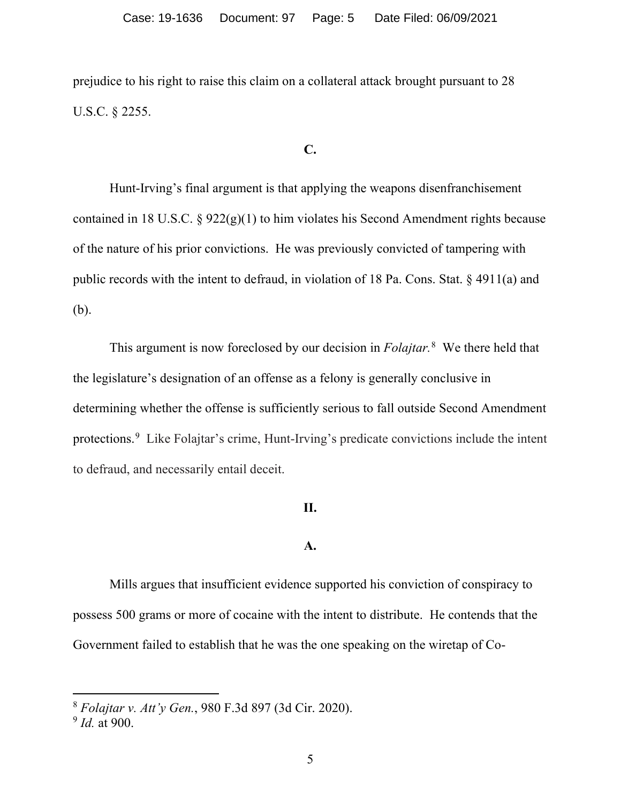prejudice to his right to raise this claim on a collateral attack brought pursuant to 28 U.S.C. § 2255.

# **C.**

Hunt-Irving's final argument is that applying the weapons disenfranchisement contained in 18 U.S.C.  $\S 922(g)(1)$  to him violates his Second Amendment rights because of the nature of his prior convictions. He was previously convicted of tampering with public records with the intent to defraud, in violation of 18 Pa. Cons. Stat. § 4911(a) and (b).

This argument is now foreclosed by our decision in *Folajtar.*<sup>8</sup> We there held that the legislature's designation of an offense as a felony is generally conclusive in determining whether the offense is sufficiently serious to fall outside Second Amendment protections.9 Like Folajtar's crime, Hunt-Irving's predicate convictions include the intent to defraud, and necessarily entail deceit.

### **II.**

#### **A.**

Mills argues that insufficient evidence supported his conviction of conspiracy to possess 500 grams or more of cocaine with the intent to distribute. He contends that the Government failed to establish that he was the one speaking on the wiretap of Co-

<sup>8</sup> *Folajtar v. Att'y Gen.*, 980 F.3d 897 (3d Cir. 2020).

<sup>9</sup> *Id.* at 900.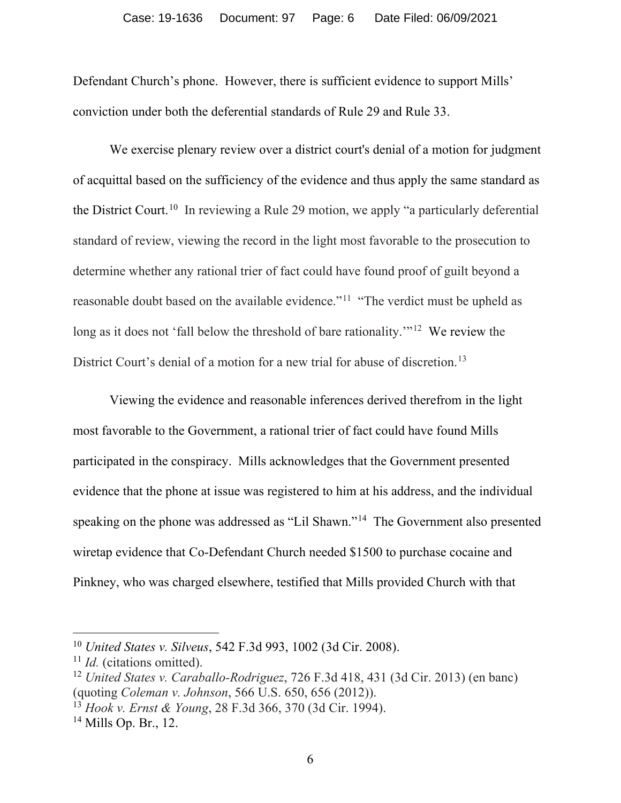Defendant Church's phone. However, there is sufficient evidence to support Mills' conviction under both the deferential standards of Rule 29 and Rule 33.

We exercise plenary review over a district court's denial of a motion for judgment of acquittal based on the sufficiency of the evidence and thus apply the same standard as the District Court.<sup>10</sup> In reviewing a Rule 29 motion, we apply "a particularly deferential standard of review, viewing the record in the light most favorable to the prosecution to determine whether any rational trier of fact could have found proof of guilt beyond a reasonable doubt based on the available evidence."<sup>11</sup> "The verdict must be upheld as long as it does not 'fall below the threshold of bare rationality.'"<sup>12</sup> We review the District Court's denial of a motion for a new trial for abuse of discretion.<sup>13</sup>

Viewing the evidence and reasonable inferences derived therefrom in the light most favorable to the Government, a rational trier of fact could have found Mills participated in the conspiracy. Mills acknowledges that the Government presented evidence that the phone at issue was registered to him at his address, and the individual speaking on the phone was addressed as "Lil Shawn."14 The Government also presented wiretap evidence that Co-Defendant Church needed \$1500 to purchase cocaine and Pinkney, who was charged elsewhere, testified that Mills provided Church with that

<sup>10</sup> *United States v. Silveus*, 542 F.3d 993, 1002 (3d Cir. 2008).

<sup>11</sup> *Id.* (citations omitted).

<sup>12</sup> *United States v. Caraballo-Rodriguez*, 726 F.3d 418, 431 (3d Cir. 2013) (en banc) (quoting *Coleman v. Johnson*, 566 U.S. 650, 656 (2012)).

<sup>13</sup> *Hook v. Ernst & Young*, 28 F.3d 366, 370 (3d Cir. 1994).

<sup>14</sup> Mills Op. Br., 12.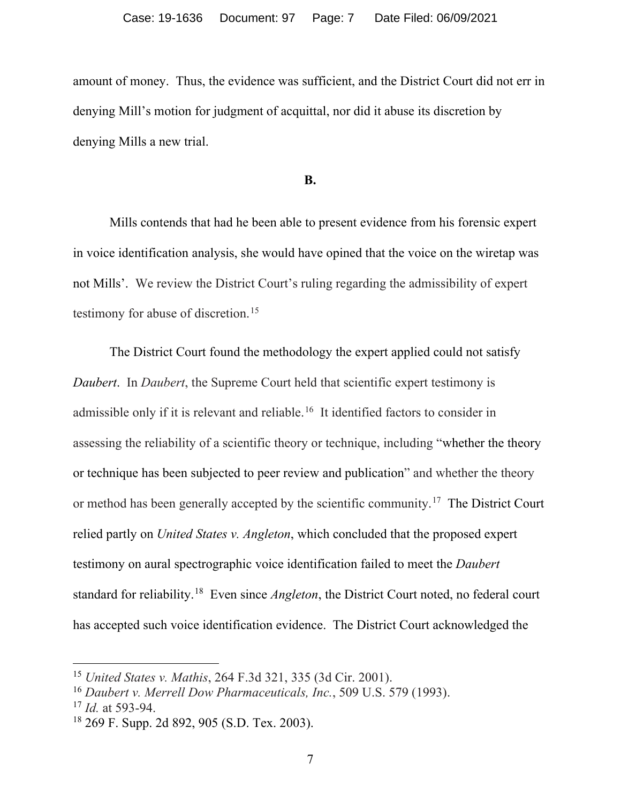amount of money. Thus, the evidence was sufficient, and the District Court did not err in denying Mill's motion for judgment of acquittal, nor did it abuse its discretion by denying Mills a new trial.

#### **B.**

Mills contends that had he been able to present evidence from his forensic expert in voice identification analysis, she would have opined that the voice on the wiretap was not Mills'. We review the District Court's ruling regarding the admissibility of expert testimony for abuse of discretion.<sup>15</sup>

The District Court found the methodology the expert applied could not satisfy *Daubert*. In *Daubert*, the Supreme Court held that scientific expert testimony is admissible only if it is relevant and reliable.16 It identified factors to consider in assessing the reliability of a scientific theory or technique, including "whether the theory or technique has been subjected to peer review and publication" and whether the theory or method has been generally accepted by the scientific community.<sup>17</sup> The District Court relied partly on *United States v. Angleton*, which concluded that the proposed expert testimony on aural spectrographic voice identification failed to meet the *Daubert* standard for reliability.18 Even since *Angleton*, the District Court noted, no federal court has accepted such voice identification evidence. The District Court acknowledged the

<sup>15</sup> *United States v. Mathis*, 264 F.3d 321, 335 (3d Cir. 2001).

<sup>16</sup> *Daubert v. Merrell Dow Pharmaceuticals, Inc.*, 509 U.S. 579 (1993).

<sup>17</sup> *Id.* at 593-94.

<sup>18</sup> 269 F. Supp. 2d 892, 905 (S.D. Tex. 2003).